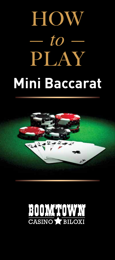# HOW  $-to -$ PLAY **Mini Baccarat**